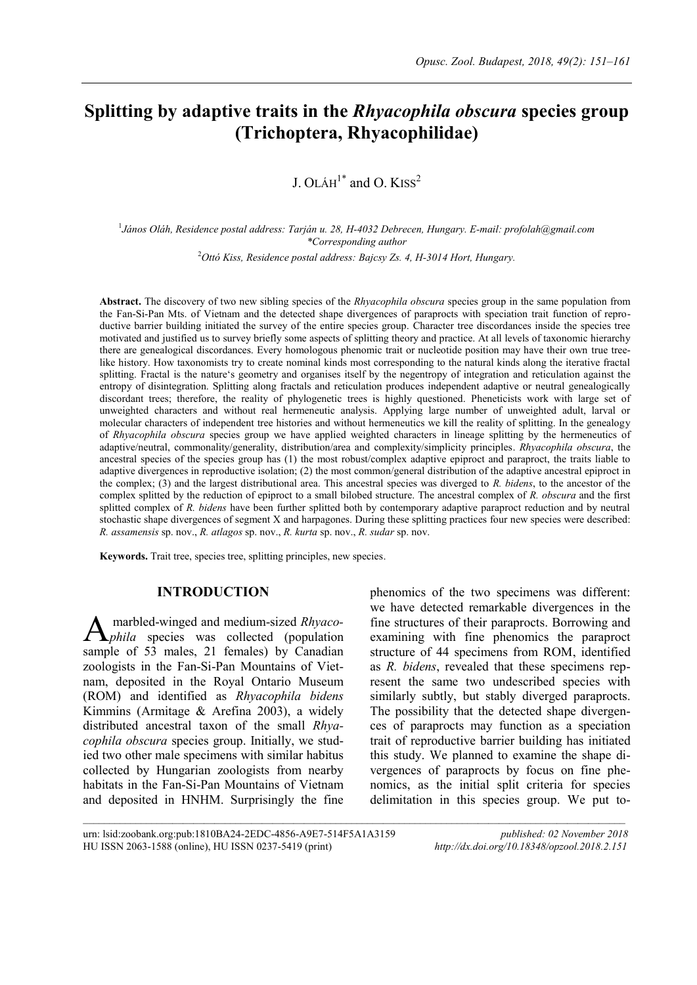# **Splitting by adaptive traits in the** *Rhyacophila obscura* **species group (Trichoptera, Rhyacophilidae)**

J. OLÁH $^1*$  and O. KISS<sup>2</sup>

1 *János Oláh, Residence postal address: Tarján u. 28, H-4032 Debrecen, Hungary. E-mail: profolah@gmail.com \*Corresponding author*

<sup>2</sup>*Ottó Kiss, Residence postal address: Bajcsy Zs. 4, H-3014 Hort, Hungary.*

**Abstract.** The discovery of two new sibling species of the *Rhyacophila obscura* species group in the same population from the Fan-Si-Pan Mts. of Vietnam and the detected shape divergences of paraprocts with speciation trait function of reproductive barrier building initiated the survey of the entire species group. Character tree discordances inside the species tree motivated and justified us to survey briefly some aspects of splitting theory and practice. At all levels of taxonomic hierarchy there are genealogical discordances. Every homologous phenomic trait or nucleotide position may have their own true treelike history. How taxonomists try to create nominal kinds most corresponding to the natural kinds along the iterative fractal splitting. Fractal is the nature's geometry and organises itself by the negentropy of integration and reticulation against the entropy of disintegration. Splitting along fractals and reticulation produces independent adaptive or neutral genealogically discordant trees; therefore, the reality of phylogenetic trees is highly questioned. Pheneticists work with large set of unweighted characters and without real hermeneutic analysis. Applying large number of unweighted adult, larval or molecular characters of independent tree histories and without hermeneutics we kill the reality of splitting. In the genealogy of *Rhyacophila obscura* species group we have applied weighted characters in lineage splitting by the hermeneutics of adaptive/neutral, commonality/generality, distribution/area and complexity/simplicity principles. *Rhyacophila obscura*, the ancestral species of the species group has (1) the most robust/complex adaptive epiproct and paraproct, the traits liable to adaptive divergences in reproductive isolation; (2) the most common/general distribution of the adaptive ancestral epiproct in the complex; (3) and the largest distributional area. This ancestral species was diverged to *R. bidens*, to the ancestor of the complex splitted by the reduction of epiproct to a small bilobed structure. The ancestral complex of *R. obscura* and the first splitted complex of *R. bidens* have been further splitted both by contemporary adaptive paraproct reduction and by neutral stochastic shape divergences of segment X and harpagones. During these splitting practices four new species were described: *R. assamensis* sp. nov., *R. atlagos* sp. nov., *R. kurta* sp. nov., *R. sudar* sp. nov.

 $\mathcal{L}_\text{max}$ 

**Keywords.** Trait tree, species tree, splitting principles, new species.

### **INTRODUCTION**

marbled-winged and medium-sized *Rhyacophila* species was collected (population sample of 53 males, 21 females) by Canadian zoologists in the Fan-Si-Pan Mountains of Vietnam, deposited in the Royal Ontario Museum (ROM) and identified as *Rhyacophila bidens* Kimmins (Armitage & Arefina 2003), a widely distributed ancestral taxon of the small *Rhyacophila obscura* species group. Initially, we studied two other male specimens with similar habitus collected by Hungarian zoologists from nearby habitats in the Fan-Si-Pan Mountains of Vietnam and deposited in HNHM. Surprisingly the fine A

phenomics of the two specimens was different: we have detected remarkable divergences in the fine structures of their paraprocts. Borrowing and examining with fine phenomics the paraproct structure of 44 specimens from ROM, identified as *R. bidens*, revealed that these specimens represent the same two undescribed species with similarly subtly, but stably diverged paraprocts. The possibility that the detected shape divergences of paraprocts may function as a speciation trait of reproductive barrier building has initiated this study. We planned to examine the shape divergences of paraprocts by focus on fine phenomics, as the initial split criteria for species delimitation in this species group. We put to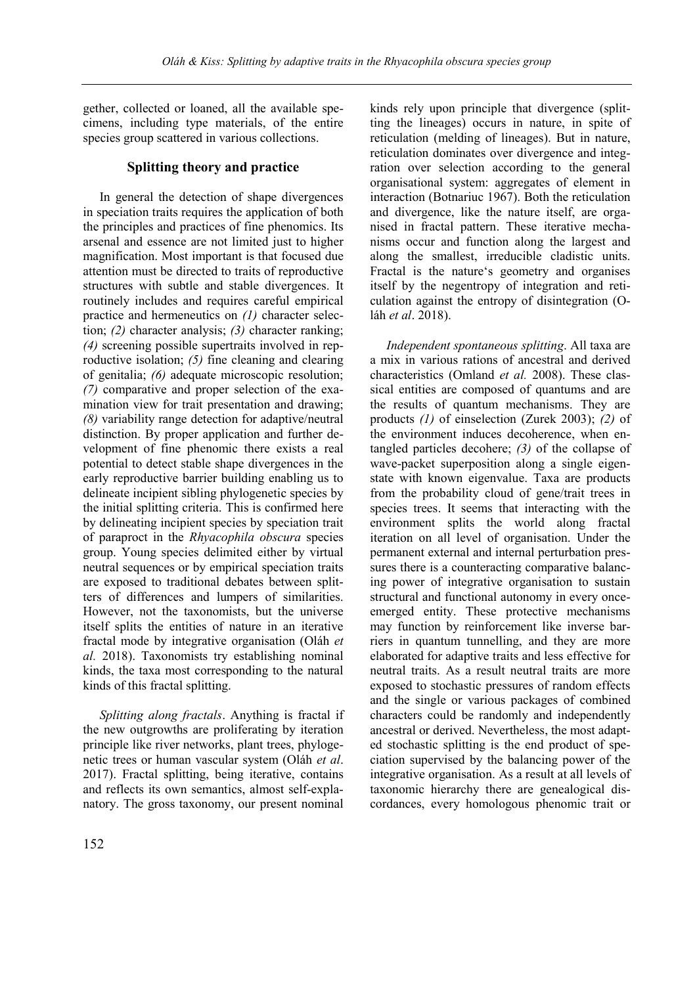gether, collected or loaned, all the available specimens, including type materials, of the entire species group scattered in various collections.

## **Splitting theory and practice**

In general the detection of shape divergences in speciation traits requires the application of both the principles and practices of fine phenomics. Its arsenal and essence are not limited just to higher magnification. Most important is that focused due attention must be directed to traits of reproductive structures with subtle and stable divergences. It routinely includes and requires careful empirical practice and hermeneutics on *(1)* character selection; *(2)* character analysis; *(3)* character ranking; *(4)* screening possible supertraits involved in reproductive isolation; *(5)* fine cleaning and clearing of genitalia; *(6)* adequate microscopic resolution; *(7)* comparative and proper selection of the examination view for trait presentation and drawing; *(8)* variability range detection for adaptive/neutral distinction. By proper application and further development of fine phenomic there exists a real potential to detect stable shape divergences in the early reproductive barrier building enabling us to delineate incipient sibling phylogenetic species by the initial splitting criteria. This is confirmed here by delineating incipient species by speciation trait of paraproct in the *Rhyacophila obscura* species group. Young species delimited either by virtual neutral sequences or by empirical speciation traits are exposed to traditional debates between splitters of differences and lumpers of similarities. However, not the taxonomists, but the universe itself splits the entities of nature in an iterative fractal mode by integrative organisation (Oláh *et al.* 2018). Taxonomists try establishing nominal kinds, the taxa most corresponding to the natural kinds of this fractal splitting.

*Splitting along fractals*. Anything is fractal if the new outgrowths are proliferating by iteration principle like river networks, plant trees, phylogenetic trees or human vascular system (Oláh *et al*. 2017). Fractal splitting, being iterative, contains and reflects its own semantics, almost self-explanatory. The gross taxonomy, our present nominal

kinds rely upon principle that divergence (splitting the lineages) occurs in nature, in spite of reticulation (melding of lineages). But in nature, reticulation dominates over divergence and integration over selection according to the general organisational system: aggregates of element in interaction (Botnariuc 1967). Both the reticulation and divergence, like the nature itself, are organised in fractal pattern. These iterative mechanisms occur and function along the largest and along the smallest, irreducible cladistic units. Fractal is the nature's geometry and organises itself by the negentropy of integration and reticulation against the entropy of disintegration (Oláh *et al*. 2018).

*Independent spontaneous splitting*. All taxa are a mix in various rations of ancestral and derived characteristics (Omland *et al.* 2008). These classical entities are composed of quantums and are the results of quantum mechanisms. They are products *(1)* of einselection (Zurek 2003); *(2)* of the environment induces decoherence, when entangled particles decohere; *(3)* of the collapse of wave-packet superposition along a single eigenstate with known eigenvalue. Taxa are products from the probability cloud of gene/trait trees in species trees. It seems that interacting with the environment splits the world along fractal iteration on all level of organisation. Under the permanent external and internal perturbation pressures there is a counteracting comparative balancing power of integrative organisation to sustain structural and functional autonomy in every onceemerged entity. These protective mechanisms may function by reinforcement like inverse barriers in quantum tunnelling, and they are more elaborated for adaptive traits and less effective for neutral traits. As a result neutral traits are more exposed to stochastic pressures of random effects and the single or various packages of combined characters could be randomly and independently ancestral or derived. Nevertheless, the most adapted stochastic splitting is the end product of speciation supervised by the balancing power of the integrative organisation. As a result at all levels of taxonomic hierarchy there are genealogical discordances, every homologous phenomic trait or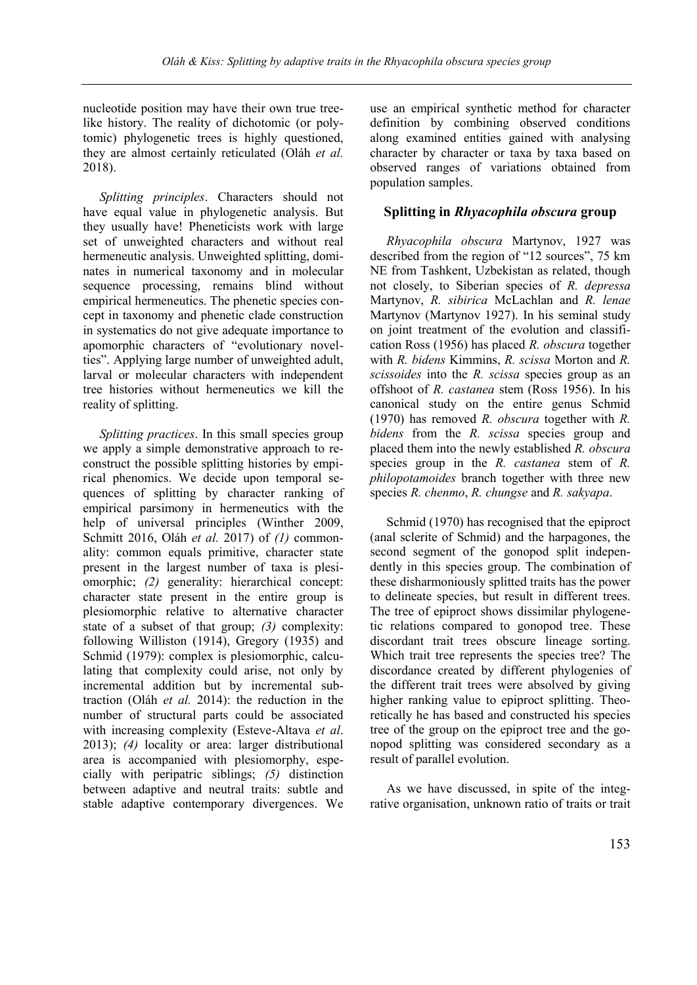nucleotide position may have their own true treelike history. The reality of dichotomic (or polytomic) phylogenetic trees is highly questioned, they are almost certainly reticulated (Oláh *et al.* 2018).

*Splitting principles*. Characters should not have equal value in phylogenetic analysis. But they usually have! Pheneticists work with large set of unweighted characters and without real hermeneutic analysis. Unweighted splitting, dominates in numerical taxonomy and in molecular sequence processing, remains blind without empirical hermeneutics. The phenetic species concept in taxonomy and phenetic clade construction in systematics do not give adequate importance to apomorphic characters of "evolutionary novelties". Applying large number of unweighted adult, larval or molecular characters with independent tree histories without hermeneutics we kill the reality of splitting.

*Splitting practices*. In this small species group we apply a simple demonstrative approach to reconstruct the possible splitting histories by empirical phenomics. We decide upon temporal sequences of splitting by character ranking of empirical parsimony in hermeneutics with the help of universal principles (Winther 2009, Schmitt 2016, Oláh *et al.* 2017) of *(1)* commonality: common equals primitive, character state present in the largest number of taxa is plesiomorphic; *(2)* generality: hierarchical concept: character state present in the entire group is plesiomorphic relative to alternative character state of a subset of that group; *(3)* complexity: following Williston (1914), Gregory (1935) and Schmid (1979): complex is plesiomorphic, calculating that complexity could arise, not only by incremental addition but by incremental subtraction (Oláh *et al.* 2014): the reduction in the number of structural parts could be associated with increasing complexity (Esteve-Altava *et al*. 2013); *(4)* locality or area: larger distributional area is accompanied with plesiomorphy, especially with peripatric siblings; *(5)* distinction between adaptive and neutral traits: subtle and stable adaptive contemporary divergences. We

use an empirical synthetic method for character definition by combining observed conditions along examined entities gained with analysing character by character or taxa by taxa based on observed ranges of variations obtained from population samples.

### **Splitting in** *Rhyacophila obscura* **group**

*Rhyacophila obscura* Martynov, 1927 was described from the region of "12 sources", 75 km NE from Tashkent, Uzbekistan as related, though not closely, to Siberian species of *R. depressa* Martynov, *R. sibirica* McLachlan and *R. lenae* Martynov (Martynov 1927). In his seminal study on joint treatment of the evolution and classification Ross (1956) has placed *R. obscura* together with *R. bidens* Kimmins, *R. scissa* Morton and *R. scissoides* into the *R. scissa* species group as an offshoot of *R. castanea* stem (Ross 1956). In his canonical study on the entire genus Schmid (1970) has removed *R. obscura* together with *R. bidens* from the *R. scissa* species group and placed them into the newly established *R. obscura* species group in the *R. castanea* stem of *R. philopotamoides* branch together with three new species *R. chenmo*, *R. chungse* and *R. sakyapa*.

Schmid (1970) has recognised that the epiproct (anal sclerite of Schmid) and the harpagones, the second segment of the gonopod split independently in this species group. The combination of these disharmoniously splitted traits has the power to delineate species, but result in different trees. The tree of epiproct shows dissimilar phylogenetic relations compared to gonopod tree. These discordant trait trees obscure lineage sorting. Which trait tree represents the species tree? The discordance created by different phylogenies of the different trait trees were absolved by giving higher ranking value to epiproct splitting. Theoretically he has based and constructed his species tree of the group on the epiproct tree and the gonopod splitting was considered secondary as a result of parallel evolution.

As we have discussed, in spite of the integrative organisation, unknown ratio of traits or trait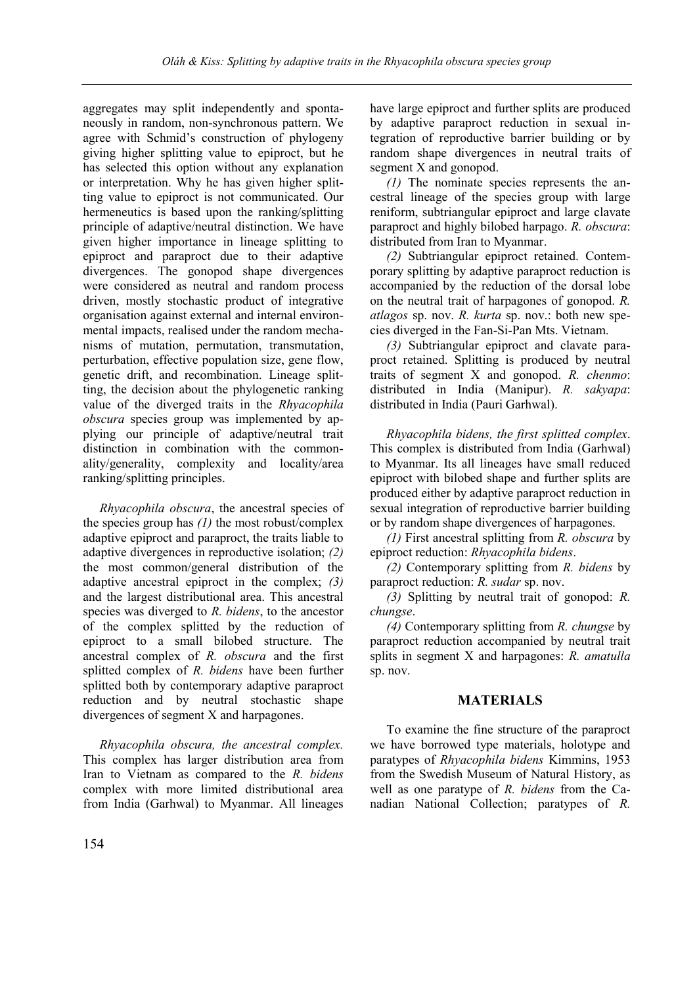aggregates may split independently and spontaneously in random, non-synchronous pattern. We agree with Schmid's construction of phylogeny giving higher splitting value to epiproct, but he has selected this option without any explanation or interpretation. Why he has given higher splitting value to epiproct is not communicated. Our hermeneutics is based upon the ranking/splitting principle of adaptive/neutral distinction. We have given higher importance in lineage splitting to epiproct and paraproct due to their adaptive divergences. The gonopod shape divergences were considered as neutral and random process driven, mostly stochastic product of integrative organisation against external and internal environmental impacts, realised under the random mechanisms of mutation, permutation, transmutation, perturbation, effective population size, gene flow, genetic drift, and recombination. Lineage splitting, the decision about the phylogenetic ranking value of the diverged traits in the *Rhyacophila obscura* species group was implemented by applying our principle of adaptive/neutral trait distinction in combination with the commonality/generality, complexity and locality/area ranking/splitting principles.

*Rhyacophila obscura*, the ancestral species of the species group has *(1)* the most robust/complex adaptive epiproct and paraproct, the traits liable to adaptive divergences in reproductive isolation; *(2)* the most common/general distribution of the adaptive ancestral epiproct in the complex; *(3)* and the largest distributional area. This ancestral species was diverged to *R. bidens*, to the ancestor of the complex splitted by the reduction of epiproct to a small bilobed structure. The ancestral complex of *R. obscura* and the first splitted complex of *R. bidens* have been further splitted both by contemporary adaptive paraproct reduction and by neutral stochastic shape divergences of segment X and harpagones.

*Rhyacophila obscura, the ancestral complex.* This complex has larger distribution area from Iran to Vietnam as compared to the *R. bidens* complex with more limited distributional area from India (Garhwal) to Myanmar. All lineages have large epiproct and further splits are produced by adaptive paraproct reduction in sexual integration of reproductive barrier building or by random shape divergences in neutral traits of segment X and gonopod.

*(1)* The nominate species represents the ancestral lineage of the species group with large reniform, subtriangular epiproct and large clavate paraproct and highly bilobed harpago. *R. obscura*: distributed from Iran to Myanmar.

*(2)* Subtriangular epiproct retained. Contemporary splitting by adaptive paraproct reduction is accompanied by the reduction of the dorsal lobe on the neutral trait of harpagones of gonopod. *R. atlagos* sp. nov. *R. kurta* sp. nov.: both new species diverged in the Fan-Si-Pan Mts. Vietnam.

*(3)* Subtriangular epiproct and clavate paraproct retained. Splitting is produced by neutral traits of segment X and gonopod. *R. chenmo*: distributed in India (Manipur). *R. sakyapa*: distributed in India (Pauri Garhwal).

*Rhyacophila bidens, the first splitted complex*. This complex is distributed from India (Garhwal) to Myanmar. Its all lineages have small reduced epiproct with bilobed shape and further splits are produced either by adaptive paraproct reduction in sexual integration of reproductive barrier building or by random shape divergences of harpagones.

*(1)* First ancestral splitting from *R. obscura* by epiproct reduction: *Rhyacophila bidens*.

*(2)* Contemporary splitting from *R. bidens* by paraproct reduction: *R. sudar* sp. nov.

*(3)* Splitting by neutral trait of gonopod: *R. chungse*.

*(4)* Contemporary splitting from *R. chungse* by paraproct reduction accompanied by neutral trait splits in segment X and harpagones: *R. amatulla* sp. nov.

### **MATERIALS**

To examine the fine structure of the paraproct we have borrowed type materials, holotype and paratypes of *Rhyacophila bidens* Kimmins, 1953 from the Swedish Museum of Natural History, as well as one paratype of *R. bidens* from the Canadian National Collection; paratypes of *R.*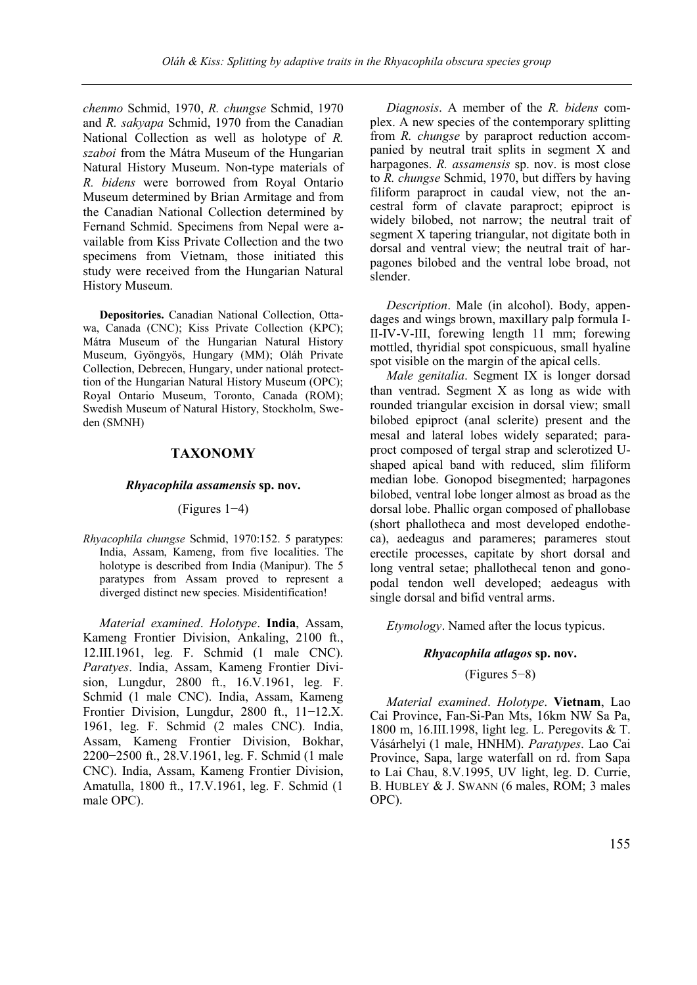*chenmo* Schmid, 1970, *R. chungse* Schmid, 1970 and *R. sakyapa* Schmid, 1970 from the Canadian National Collection as well as holotype of *R. szaboi* from the Mátra Museum of the Hungarian Natural History Museum. Non-type materials of *R. bidens* were borrowed from Royal Ontario Museum determined by Brian Armitage and from the Canadian National Collection determined by Fernand Schmid. Specimens from Nepal were available from Kiss Private Collection and the two specimens from Vietnam, those initiated this study were received from the Hungarian Natural History Museum.

**Depositories.** Canadian National Collection, Ottawa, Canada (CNC); Kiss Private Collection (KPC); Mátra Museum of the Hungarian Natural History Museum, Gyöngyös, Hungary (MM); Oláh Private Collection, Debrecen, Hungary, under national protecttion of the Hungarian Natural History Museum (OPC); Royal Ontario Museum, Toronto, Canada (ROM); Swedish Museum of Natural History, Stockholm, Sweden (SMNH)

### **TAXONOMY**

#### *Rhyacophila assamensis* **sp. nov.**

#### (Figures 1−4)

*Rhyacophila chungse* Schmid, 1970:152. 5 paratypes: India, Assam, Kameng, from five localities. The holotype is described from India (Manipur). The 5 paratypes from Assam proved to represent a diverged distinct new species. Misidentification!

*Material examined*. *Holotype*. **India**, Assam, Kameng Frontier Division, Ankaling, 2100 ft., 12.III.1961, leg. F. Schmid (1 male CNC). *Paratyes*. India, Assam, Kameng Frontier Division, Lungdur, 2800 ft., 16.V.1961, leg. F. Schmid (1 male CNC). India, Assam, Kameng Frontier Division, Lungdur, 2800 ft., 11−12.X. 1961, leg. F. Schmid (2 males CNC). India, Assam, Kameng Frontier Division, Bokhar, 2200−2500 ft., 28.V.1961, leg. F. Schmid (1 male CNC). India, Assam, Kameng Frontier Division, Amatulla, 1800 ft., 17.V.1961, leg. F. Schmid (1 male OPC).

*Diagnosis*. A member of the *R. bidens* complex. A new species of the contemporary splitting from *R. chungse* by paraproct reduction accompanied by neutral trait splits in segment X and harpagones. *R. assamensis* sp. nov. is most close to *R. chungse* Schmid, 1970, but differs by having filiform paraproct in caudal view, not the ancestral form of clavate paraproct; epiproct is widely bilobed, not narrow; the neutral trait of segment X tapering triangular, not digitate both in dorsal and ventral view; the neutral trait of harpagones bilobed and the ventral lobe broad, not slender.

*Description*. Male (in alcohol). Body, appendages and wings brown, maxillary palp formula I-II-IV-V-III, forewing length 11 mm; forewing mottled, thyridial spot conspicuous, small hyaline spot visible on the margin of the apical cells.

*Male genitalia*. Segment IX is longer dorsad than ventrad. Segment X as long as wide with rounded triangular excision in dorsal view; small bilobed epiproct (anal sclerite) present and the mesal and lateral lobes widely separated; paraproct composed of tergal strap and sclerotized Ushaped apical band with reduced, slim filiform median lobe. Gonopod bisegmented; harpagones bilobed, ventral lobe longer almost as broad as the dorsal lobe. Phallic organ composed of phallobase (short phallotheca and most developed endotheca), aedeagus and parameres; parameres stout erectile processes, capitate by short dorsal and long ventral setae; phallothecal tenon and gonopodal tendon well developed; aedeagus with single dorsal and bifid ventral arms.

*Etymology*. Named after the locus typicus.

#### *Rhyacophila atlagos* **sp. nov.**

#### (Figures 5−8)

*Material examined*. *Holotype*. **Vietnam**, Lao Cai Province, Fan-Si-Pan Mts, 16km NW Sa Pa, 1800 m, 16.III.1998, light leg. L. Peregovits & T. Vásárhelyi (1 male, HNHM). *Paratypes*. Lao Cai Province, Sapa, large waterfall on rd. from Sapa to Lai Chau, 8.V.1995, UV light, leg. D. Currie, B. HUBLEY & J. SWANN (6 males, ROM; 3 males OPC).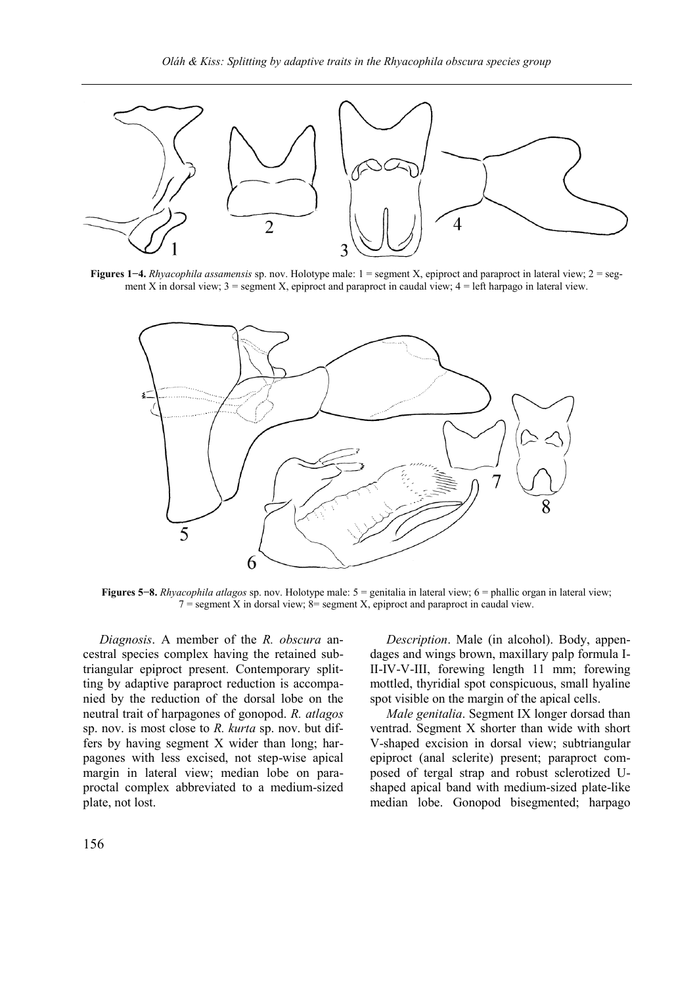

**Figures 1−4.** *Rhyacophila assamensis* sp. nov. Holotype male: 1 = segment X, epiproct and paraproct in lateral view; 2 = segment X in dorsal view; 3 = segment X, epiproct and paraproct in caudal view; 4 = left harpago in lateral view.



**Figures 5−8.** *Rhyacophila atlagos* sp. nov. Holotype male: 5 = genitalia in lateral view; 6 = phallic organ in lateral view;  $7 =$  segment X in dorsal view;  $8 =$  segment X, epiproct and paraproct in caudal view.

*Diagnosis*. A member of the *R. obscura* ancestral species complex having the retained subtriangular epiproct present. Contemporary splitting by adaptive paraproct reduction is accompanied by the reduction of the dorsal lobe on the neutral trait of harpagones of gonopod. *R. atlagos* sp. nov. is most close to *R. kurta* sp. nov. but differs by having segment X wider than long; harpagones with less excised, not step-wise apical margin in lateral view; median lobe on paraproctal complex abbreviated to a medium-sized plate, not lost.

*Description*. Male (in alcohol). Body, appendages and wings brown, maxillary palp formula I-II-IV-V-III, forewing length 11 mm; forewing mottled, thyridial spot conspicuous, small hyaline spot visible on the margin of the apical cells.

*Male genitalia*. Segment IX longer dorsad than ventrad. Segment X shorter than wide with short V-shaped excision in dorsal view; subtriangular epiproct (anal sclerite) present; paraproct composed of tergal strap and robust sclerotized Ushaped apical band with medium-sized plate-like median lobe. Gonopod bisegmented; harpago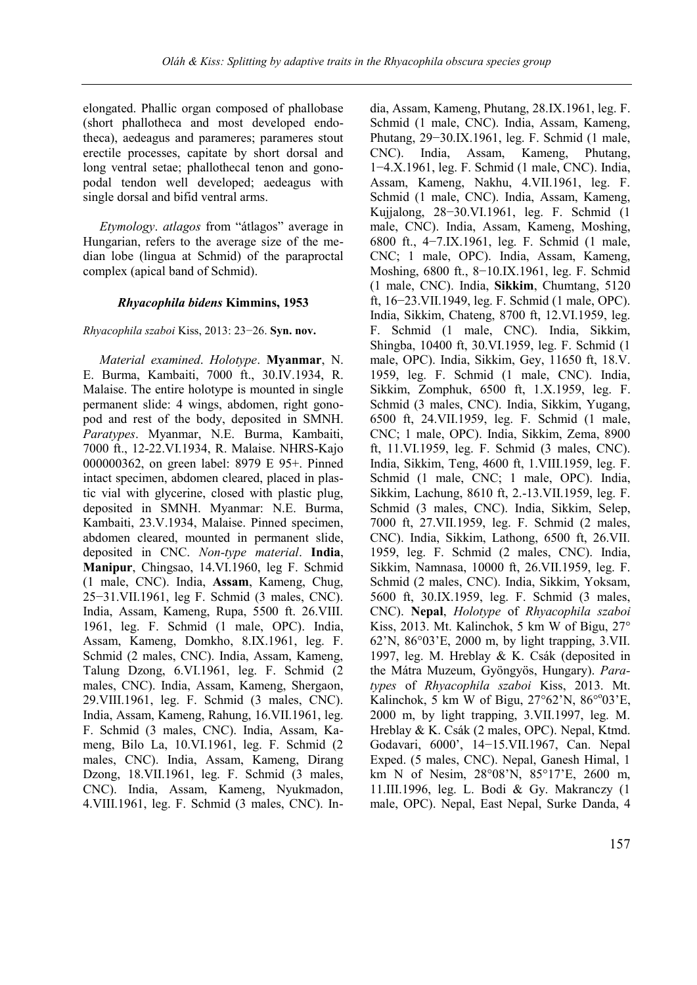elongated. Phallic organ composed of phallobase (short phallotheca and most developed endotheca), aedeagus and parameres; parameres stout erectile processes, capitate by short dorsal and long ventral setae; phallothecal tenon and gonopodal tendon well developed; aedeagus with single dorsal and bifid ventral arms.

*Etymology*. *atlagos* from "átlagos" average in Hungarian, refers to the average size of the median lobe (lingua at Schmid) of the paraproctal complex (apical band of Schmid).

### *Rhyacophila bidens* **Kimmins, 1953**

### *Rhyacophila szaboi* Kiss, 2013: 23−26. **Syn. nov.**

*Material examined*. *Holotype*. **Myanmar**, N. E. Burma, Kambaiti, 7000 ft., 30.IV.1934, R. Malaise. The entire holotype is mounted in single permanent slide: 4 wings, abdomen, right gonopod and rest of the body, deposited in SMNH. *Paratypes*. Myanmar, N.E. Burma, Kambaiti, 7000 ft., 12-22.VI.1934, R. Malaise. NHRS-Kajo 000000362, on green label: 8979 E 95+. Pinned intact specimen, abdomen cleared, placed in plastic vial with glycerine, closed with plastic plug, deposited in SMNH. Myanmar: N.E. Burma, Kambaiti, 23.V.1934, Malaise. Pinned specimen, abdomen cleared, mounted in permanent slide, deposited in CNC. *Non-type material*. **India**, **Manipur**, Chingsao, 14.VI.1960, leg F. Schmid (1 male, CNC). India, **Assam**, Kameng, Chug, 25−31.VII.1961, leg F. Schmid (3 males, CNC). India, Assam, Kameng, Rupa, 5500 ft. 26.VIII. 1961, leg. F. Schmid (1 male, OPC). India, Assam, Kameng, Domkho, 8.IX.1961, leg. F. Schmid (2 males, CNC). India, Assam, Kameng, Talung Dzong, 6.VI.1961, leg. F. Schmid (2 males, CNC). India, Assam, Kameng, Shergaon, 29.VIII.1961, leg. F. Schmid (3 males, CNC). India, Assam, Kameng, Rahung, 16.VII.1961, leg. F. Schmid (3 males, CNC). India, Assam, Kameng, Bilo La, 10.VI.1961, leg. F. Schmid (2 males, CNC). India, Assam, Kameng, Dirang Dzong, 18.VII.1961, leg. F. Schmid (3 males, CNC). India, Assam, Kameng, Nyukmadon, 4.VIII.1961, leg. F. Schmid (3 males, CNC). India, Assam, Kameng, Phutang, 28.IX.1961, leg. F. Schmid (1 male, CNC). India, Assam, Kameng, Phutang, 29−30.IX.1961, leg. F. Schmid (1 male, CNC). India, Assam, Kameng, Phutang, 1−4.X.1961, leg. F. Schmid (1 male, CNC). India, Assam, Kameng, Nakhu, 4.VII.1961, leg. F. Schmid (1 male, CNC). India, Assam, Kameng, Kujjalong, 28−30.VI.1961, leg. F. Schmid (1 male, CNC). India, Assam, Kameng, Moshing, 6800 ft., 4−7.IX.1961, leg. F. Schmid (1 male, CNC; 1 male, OPC). India, Assam, Kameng, Moshing, 6800 ft., 8−10.IX.1961, leg. F. Schmid (1 male, CNC). India, **Sikkim**, Chumtang, 5120 ft, 16−23.VII.1949, leg. F. Schmid (1 male, OPC). India, Sikkim, Chateng, 8700 ft, 12.VI.1959, leg. F. Schmid (1 male, CNC). India, Sikkim, Shingba, 10400 ft, 30.VI.1959, leg. F. Schmid (1 male, OPC). India, Sikkim, Gey, 11650 ft, 18.V. 1959, leg. F. Schmid (1 male, CNC). India, Sikkim, Zomphuk, 6500 ft, 1.X.1959, leg. F. Schmid (3 males, CNC). India, Sikkim, Yugang, 6500 ft, 24.VII.1959, leg. F. Schmid (1 male, CNC; 1 male, OPC). India, Sikkim, Zema, 8900 ft, 11.VI.1959, leg. F. Schmid (3 males, CNC). India, Sikkim, Teng, 4600 ft, 1.VIII.1959, leg. F. Schmid (1 male, CNC; 1 male, OPC). India, Sikkim, Lachung, 8610 ft, 2.-13.VII.1959, leg. F. Schmid (3 males, CNC). India, Sikkim, Selep, 7000 ft, 27.VII.1959, leg. F. Schmid (2 males, CNC). India, Sikkim, Lathong, 6500 ft, 26.VII. 1959, leg. F. Schmid (2 males, CNC). India, Sikkim, Namnasa, 10000 ft, 26.VII.1959, leg. F. Schmid (2 males, CNC). India, Sikkim, Yoksam, 5600 ft, 30.IX.1959, leg. F. Schmid (3 males, CNC). **Nepal**, *Holotype* of *Rhyacophila szaboi* Kiss, 2013. Mt. Kalinchok, 5 km W of Bigu, 27° 62'N, 86°03'E, 2000 m, by light trapping, 3.VII. 1997, leg. M. Hreblay & K. Csák (deposited in the Mátra Muzeum, Gyöngyös, Hungary). *Paratypes* of *Rhyacophila szaboi* Kiss, 2013. Mt. Kalinchok, 5 km W of Bigu,  $27^{\circ}62^{\prime}$ N,  $86^{\circ}03^{\prime}$ E, 2000 m, by light trapping, 3.VII.1997, leg. M. Hreblay & K. Csák (2 males, OPC). Nepal, Ktmd. Godavari, 6000', 14−15.VII.1967, Can. Nepal Exped. (5 males, CNC). Nepal, Ganesh Himal, 1 km N of Nesim, 28°08'N, 85°17'E, 2600 m, 11.III.1996, leg. L. Bodi & Gy. Makranczy (1 male, OPC). Nepal, East Nepal, Surke Danda, 4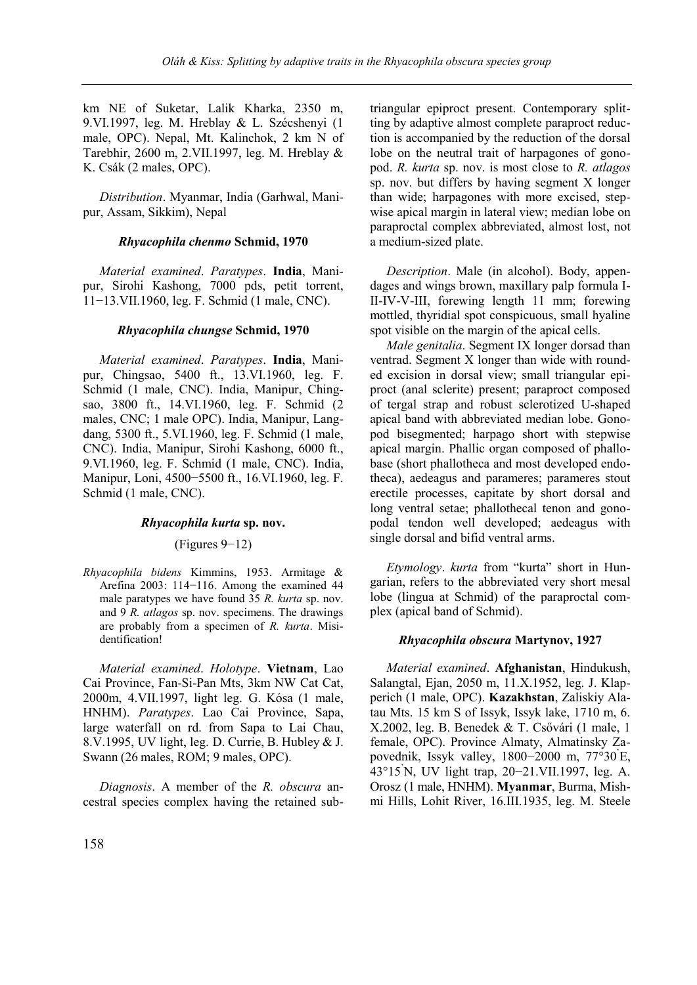km NE of Suketar, Lalik Kharka, 2350 m, 9.VI.1997, leg. M. Hreblay & L. Szécshenyi (1 male, OPC). Nepal, Mt. Kalinchok, 2 km N of Tarebhir, 2600 m, 2.VII.1997, leg. M. Hreblay & K. Csák (2 males, OPC).

*Distribution*. Myanmar, India (Garhwal, Manipur, Assam, Sikkim), Nepal

### *Rhyacophila chenmo* **Schmid, 1970**

*Material examined*. *Paratypes*. **India**, Manipur, Sirohi Kashong, 7000 pds, petit torrent, 11−13.VII.1960, leg. F. Schmid (1 male, CNC).

### *Rhyacophila chungse* **Schmid, 1970**

*Material examined*. *Paratypes*. **India**, Manipur, Chingsao, 5400 ft., 13.VI.1960, leg. F. Schmid (1 male, CNC). India, Manipur, Chingsao, 3800 ft., 14.VI.1960, leg. F. Schmid (2 males, CNC; 1 male OPC). India, Manipur, Langdang, 5300 ft., 5.VI.1960, leg. F. Schmid (1 male, CNC). India, Manipur, Sirohi Kashong, 6000 ft., 9.VI.1960, leg. F. Schmid (1 male, CNC). India, Manipur, Loni, 4500−5500 ft., 16.VI.1960, leg. F. Schmid (1 male, CNC).

### *Rhyacophila kurta* **sp. nov.**

(Figures 9−12)

*Rhyacophila bidens* Kimmins, 1953. Armitage & Arefina 2003: 114−116. Among the examined 44 male paratypes we have found 35 *R. kurta* sp. nov. and 9 *R. atlagos* sp. nov. specimens. The drawings are probably from a specimen of *R. kurta*. Misidentification!

*Material examined*. *Holotype*. **Vietnam**, Lao Cai Province, Fan-Si-Pan Mts, 3km NW Cat Cat, 2000m, 4.VII.1997, light leg. G. Kósa (1 male, HNHM). *Paratypes*. Lao Cai Province, Sapa, large waterfall on rd. from Sapa to Lai Chau, 8.V.1995, UV light, leg. D. Currie, B. Hubley & J. Swann (26 males, ROM; 9 males, OPC).

*Diagnosis*. A member of the *R. obscura* ancestral species complex having the retained subtriangular epiproct present. Contemporary splitting by adaptive almost complete paraproct reduction is accompanied by the reduction of the dorsal lobe on the neutral trait of harpagones of gonopod. *R. kurta* sp. nov. is most close to *R. atlagos*  sp. nov. but differs by having segment X longer than wide; harpagones with more excised, stepwise apical margin in lateral view; median lobe on paraproctal complex abbreviated, almost lost, not a medium-sized plate.

*Description*. Male (in alcohol). Body, appendages and wings brown, maxillary palp formula I-II-IV-V-III, forewing length 11 mm; forewing mottled, thyridial spot conspicuous, small hyaline spot visible on the margin of the apical cells.

*Male genitalia*. Segment IX longer dorsad than ventrad. Segment X longer than wide with rounded excision in dorsal view; small triangular epiproct (anal sclerite) present; paraproct composed of tergal strap and robust sclerotized U-shaped apical band with abbreviated median lobe. Gonopod bisegmented; harpago short with stepwise apical margin. Phallic organ composed of phallobase (short phallotheca and most developed endotheca), aedeagus and parameres; parameres stout erectile processes, capitate by short dorsal and long ventral setae; phallothecal tenon and gonopodal tendon well developed; aedeagus with single dorsal and bifid ventral arms.

*Etymology*. *kurta* from "kurta" short in Hungarian, refers to the abbreviated very short mesal lobe (lingua at Schmid) of the paraproctal complex (apical band of Schmid).

# *Rhyacophila obscura* **Martynov, 1927**

*Material examined*. **Afghanistan**, Hindukush, Salangtal, Ejan, 2050 m, 11.X.1952, leg. J. Klapperich (1 male, OPC). **Kazakhstan**, Zaliskiy Alatau Mts. 15 km S of Issyk, Issyk lake, 1710 m, 6. X.2002, leg. B. Benedek & T. Csővári (1 male, 1 female, OPC). Province Almaty, Almatinsky Zapovednik, Issyk valley, 1800−2000 m, 77°30'E, 43°15'N, UV light trap, 20−21.VII.1997, leg. A. Orosz (1 male, HNHM). **Myanmar**, Burma, Mishmi Hills, Lohit River, 16.III.1935, leg. M. Steele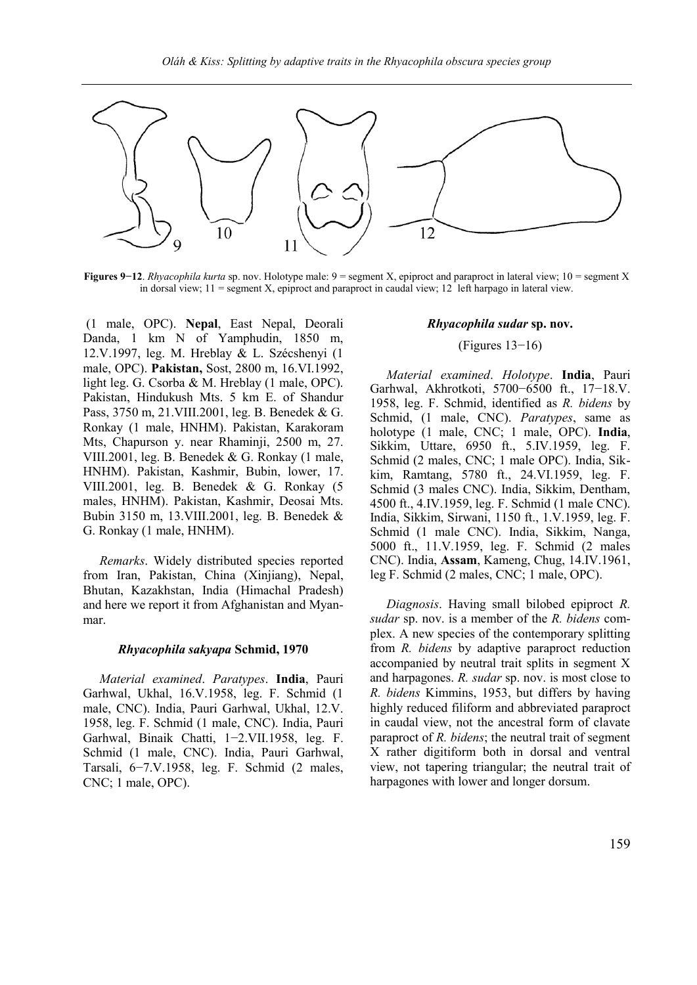

**Figures 9−12**. *Rhyacophila kurta* sp. nov. Holotype male: 9 = segment X, epiproct and paraproct in lateral view; 10 = segment X in dorsal view; 11 = segment X, epiproct and paraproct in caudal view; 12 left harpago in lateral view.

(1 male, OPC). **Nepal**, East Nepal, Deorali Danda, 1 km N of Yamphudin, 1850 m, 12.V.1997, leg. M. Hreblay & L. Szécshenyi (1 male, OPC). **Pakistan,** Sost, 2800 m, 16.VI.1992, light leg. G. Csorba & M. Hreblay (1 male, OPC). Pakistan, Hindukush Mts. 5 km E. of Shandur Pass, 3750 m, 21.VIII.2001, leg. B. Benedek & G. Ronkay (1 male, HNHM). Pakistan, Karakoram Mts, Chapurson y. near Rhaminji, 2500 m, 27. VIII.2001, leg. B. Benedek & G. Ronkay (1 male, HNHM). Pakistan, Kashmir, Bubin, lower, 17. VIII.2001, leg. B. Benedek & G. Ronkay (5 males, HNHM). Pakistan, Kashmir, Deosai Mts. Bubin 3150 m, 13.VIII.2001, leg. B. Benedek & G. Ronkay (1 male, HNHM).

*Remarks*. Widely distributed species reported from Iran, Pakistan, China (Xinjiang), Nepal, Bhutan, Kazakhstan, India (Himachal Pradesh) and here we report it from Afghanistan and Myanmar.

#### *Rhyacophila sakyapa* **Schmid, 1970**

*Material examined*. *Paratypes*. **India**, Pauri Garhwal, Ukhal, 16.V.1958, leg. F. Schmid (1 male, CNC). India, Pauri Garhwal, Ukhal, 12.V. 1958, leg. F. Schmid (1 male, CNC). India, Pauri Garhwal, Binaik Chatti, 1−2.VII.1958, leg. F. Schmid (1 male, CNC). India, Pauri Garhwal, Tarsali, 6−7.V.1958, leg. F. Schmid (2 males, CNC; 1 male, OPC).

#### *Rhyacophila sudar* **sp. nov.**

#### (Figures 13−16)

*Material examined*. *Holotype*. **India**, Pauri Garhwal, Akhrotkoti, 5700−6500 ft., 17−18.V. 1958, leg. F. Schmid, identified as *R. bidens* by Schmid, (1 male, CNC). *Paratypes*, same as holotype (1 male, CNC; 1 male, OPC). **India**, Sikkim, Uttare, 6950 ft., 5.IV.1959, leg. F. Schmid (2 males, CNC; 1 male OPC). India, Sikkim, Ramtang, 5780 ft., 24.VI.1959, leg. F. Schmid (3 males CNC). India, Sikkim, Dentham, 4500 ft., 4.IV.1959, leg. F. Schmid (1 male CNC). India, Sikkim, Sirwani, 1150 ft., 1.V.1959, leg. F. Schmid (1 male CNC). India, Sikkim, Nanga, 5000 ft., 11.V.1959, leg. F. Schmid (2 males CNC). India, **Assam**, Kameng, Chug, 14.IV.1961, leg F. Schmid (2 males, CNC; 1 male, OPC).

*Diagnosis*. Having small bilobed epiproct *R. sudar* sp. nov. is a member of the *R. bidens* complex. A new species of the contemporary splitting from *R. bidens* by adaptive paraproct reduction accompanied by neutral trait splits in segment X and harpagones. *R. sudar* sp. nov. is most close to *R. bidens* Kimmins, 1953, but differs by having highly reduced filiform and abbreviated paraproct in caudal view, not the ancestral form of clavate paraproct of *R. bidens*; the neutral trait of segment X rather digitiform both in dorsal and ventral view, not tapering triangular; the neutral trait of harpagones with lower and longer dorsum.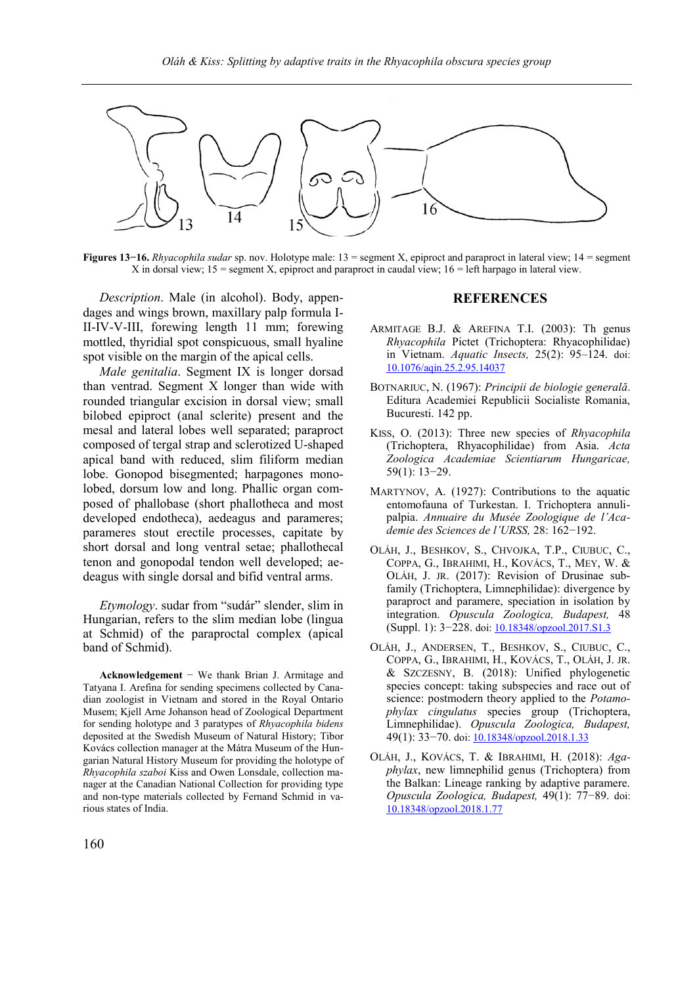

**Figures 13−16.** *Rhyacophila sudar* sp. nov. Holotype male: 13 = segment X, epiproct and paraproct in lateral view; 14 = segment X in dorsal view; 15 = segment X, epiproct and paraproct in caudal view;  $16$  = left harpago in lateral view.

*Description*. Male (in alcohol). Body, appendages and wings brown, maxillary palp formula I-II-IV-V-III, forewing length 11 mm; forewing mottled, thyridial spot conspicuous, small hyaline spot visible on the margin of the apical cells.

*Male genitalia*. Segment IX is longer dorsad than ventrad. Segment X longer than wide with rounded triangular excision in dorsal view; small bilobed epiproct (anal sclerite) present and the mesal and lateral lobes well separated; paraproct composed of tergal strap and sclerotized U-shaped apical band with reduced, slim filiform median lobe. Gonopod bisegmented; harpagones monolobed, dorsum low and long. Phallic organ composed of phallobase (short phallotheca and most developed endotheca), aedeagus and parameres; parameres stout erectile processes, capitate by short dorsal and long ventral setae; phallothecal tenon and gonopodal tendon well developed; aedeagus with single dorsal and bifid ventral arms.

*Etymology*. sudar from "sudár" slender, slim in Hungarian, refers to the slim median lobe (lingua at Schmid) of the paraproctal complex (apical band of Schmid).

**Acknowledgement** − We thank Brian J. Armitage and Tatyana I. Arefina for sending specimens collected by Canadian zoologist in Vietnam and stored in the Royal Ontario Musem; Kjell Arne Johanson head of Zoological Department for sending holotype and 3 paratypes of *Rhyacophila bidens* deposited at the Swedish Museum of Natural History; Tibor Kovács collection manager at the Mátra Museum of the Hungarian Natural History Museum for providing the holotype of *Rhyacophila szaboi* Kiss and Owen Lonsdale, collection manager at the Canadian National Collection for providing type and non-type materials collected by Fernand Schmid in various states of India.

#### **REFERENCES**

- ARMITAGE B.J. & AREFINA T.I. (2003): Th genus *Rhyacophila* Pictet (Trichoptera: Rhyacophilidae) in Vietnam. *Aquatic Insects,* 25(2): 95–124. doi: [10.1076/aqin.25.2.95.14037](http://dx.doi.org/10.1076/aqin.25.2.95.14037)
- BOTNARIUC, N. (1967): *Principii de biologie generală*. Editura Academiei Republicii Socialiste Romania, Bucuresti. 142 pp.
- KISS, O. (2013): Three new species of *Rhyacophila* (Trichoptera, Rhyacophilidae) from Asia. *Acta Zoologica Academiae Scientiarum Hungaricae,* 59(1): 13−29.
- MARTYNOV, A. (1927): Contributions to the aquatic entomofauna of Turkestan. I. Trichoptera annulipalpia. *Annuaire du Musée Zoologique de l'Academie des Sciences de l'URSS,* 28: 162−192.
- OLÁH, J., BESHKOV, S., CHVOJKA, T.P., CIUBUC, C., COPPA, G., IBRAHIMI, H., KOVÁCS, T., MEY, W. & OLÁH, J. JR. (2017): Revision of Drusinae subfamily (Trichoptera, Limnephilidae): divergence by paraproct and paramere, speciation in isolation by integration. *Opuscula Zoologica, Budapest,* 48 (Suppl. 1): 3−228. doi[: 10.18348/opzool.2017.S1.3](http://dx.doi.org/10.18348/opzool.2017.S1.3)
- OLÁH, J., ANDERSEN, T., BESHKOV, S., CIUBUC, C., COPPA, G., IBRAHIMI, H., KOVÁCS, T., OLÁH, J. JR. & SZCZESNY, B. (2018): Unified phylogenetic species concept: taking subspecies and race out of science: postmodern theory applied to the *Potamophylax cingulatus* species group (Trichoptera, Limnephilidae). *Opuscula Zoologica, Budapest,*  49(1): 33−70. doi[: 10.18348/opzool.2018.1.33](http://dx.doi.org/10.18348/opzool.2018.1.33)
- OLÁH, J., KOVÁCS, T. & IBRAHIMI, H. (2018): *Agaphylax*, new limnephilid genus (Trichoptera) from the Balkan: Lineage ranking by adaptive paramere. *Opuscula Zoologica, Budapest,* 49(1): 77−89. doi: [10.18348/opzool.2018.1.77](http://dx.doi.org/10.18348/opzool.2018.1.77)